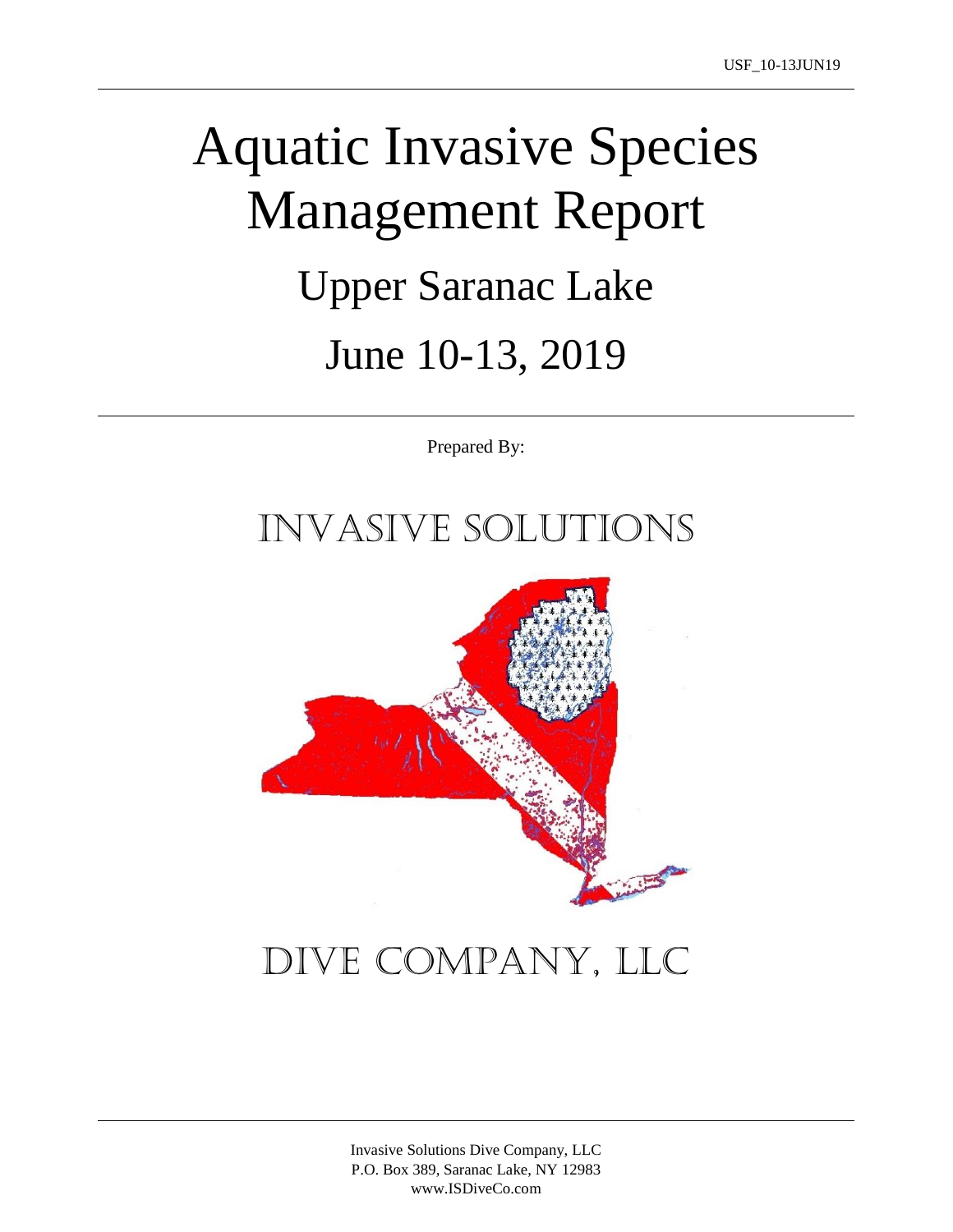# Aquatic Invasive Species Management Report Upper Saranac Lake June 10-13, 2019

Prepared By:

## Invasive Solutions



## Dive Company, LLC

Invasive Solutions Dive Company, LLC P.O. Box 389, Saranac Lake, NY 12983 www.ISDiveCo.com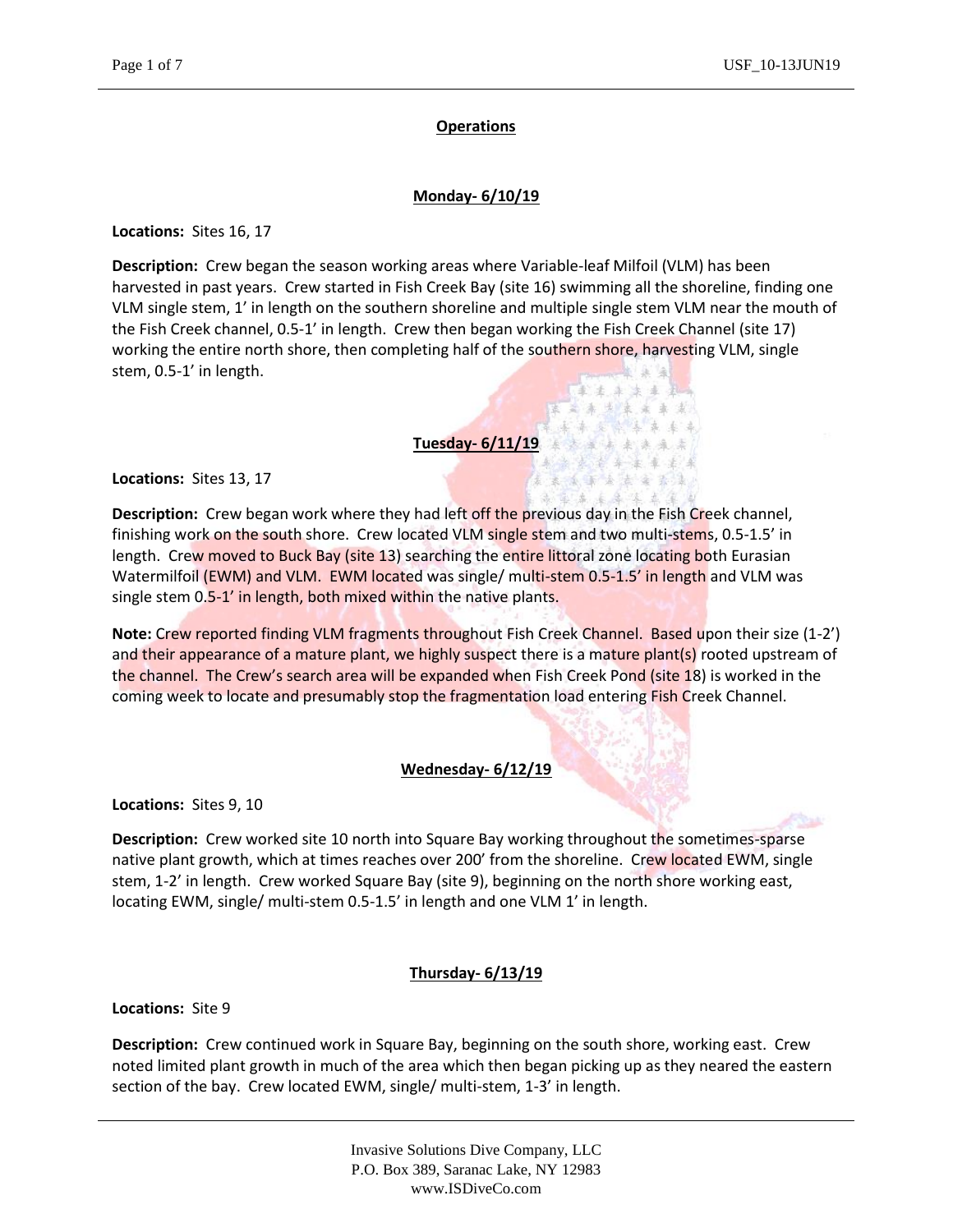#### **Operations**

#### **Monday- 6/10/19**

**Locations:** Sites 16, 17

**Description:** Crew began the season working areas where Variable-leaf Milfoil (VLM) has been harvested in past years. Crew started in Fish Creek Bay (site 16) swimming all the shoreline, finding one VLM single stem, 1' in length on the southern shoreline and multiple single stem VLM near the mouth of the Fish Creek channel, 0.5-1' in length. Crew then began working the Fish Creek Channel (site 17) working the entire north shore, then completing half of the southern shore, harvesting VLM, single stem, 0.5-1' in length.

主法法法法

第第第 年末年 系系 大麻 医体神经 美国人

26.

#### **Tuesday- 6/11/19**

**Locations:** Sites 13, 17

**Description:** Crew began work where they had left off the previous day in the Fish Creek channel, finishing work on the south shore. Crew located VLM single stem and two multi-stems, 0.5-1.5' in length. Crew moved to Buck Bay (site 13) searching the entire littoral zone locating both Eurasian Watermilfoil (EWM) and VLM. EWM located was single/ multi-stem 0.5-1.5' in length and VLM was single stem 0.5-1' in length, both mixed within the native plants.

**Note:** Crew reported finding VLM fragments throughout Fish Creek Channel. Based upon their size (1-2') and their appearance of a mature plant, we highly suspect there is a mature plant(s) rooted upstream of the channel. The Crew's search area will be expanded when Fish Creek Pond (site 18) is worked in the coming week to locate and presumably stop the fragmentation load entering Fish Creek Channel.

#### **Wednesday- 6/12/19**

**Locations:** Sites 9, 10

**Description:** Crew worked site 10 north into Square Bay working throughout the sometimes-sparse native plant growth, which at times reaches over 200' from the shoreline. Crew located EWM, single stem, 1-2' in length. Crew worked Square Bay (site 9), beginning on the north shore working east, locating EWM, single/ multi-stem 0.5-1.5' in length and one VLM 1' in length.

#### **Thursday- 6/13/19**

**Locations:** Site 9

**Description:** Crew continued work in Square Bay, beginning on the south shore, working east. Crew noted limited plant growth in much of the area which then began picking up as they neared the eastern section of the bay. Crew located EWM, single/ multi-stem, 1-3' in length.

> Invasive Solutions Dive Company, LLC P.O. Box 389, Saranac Lake, NY 12983 www.ISDiveCo.com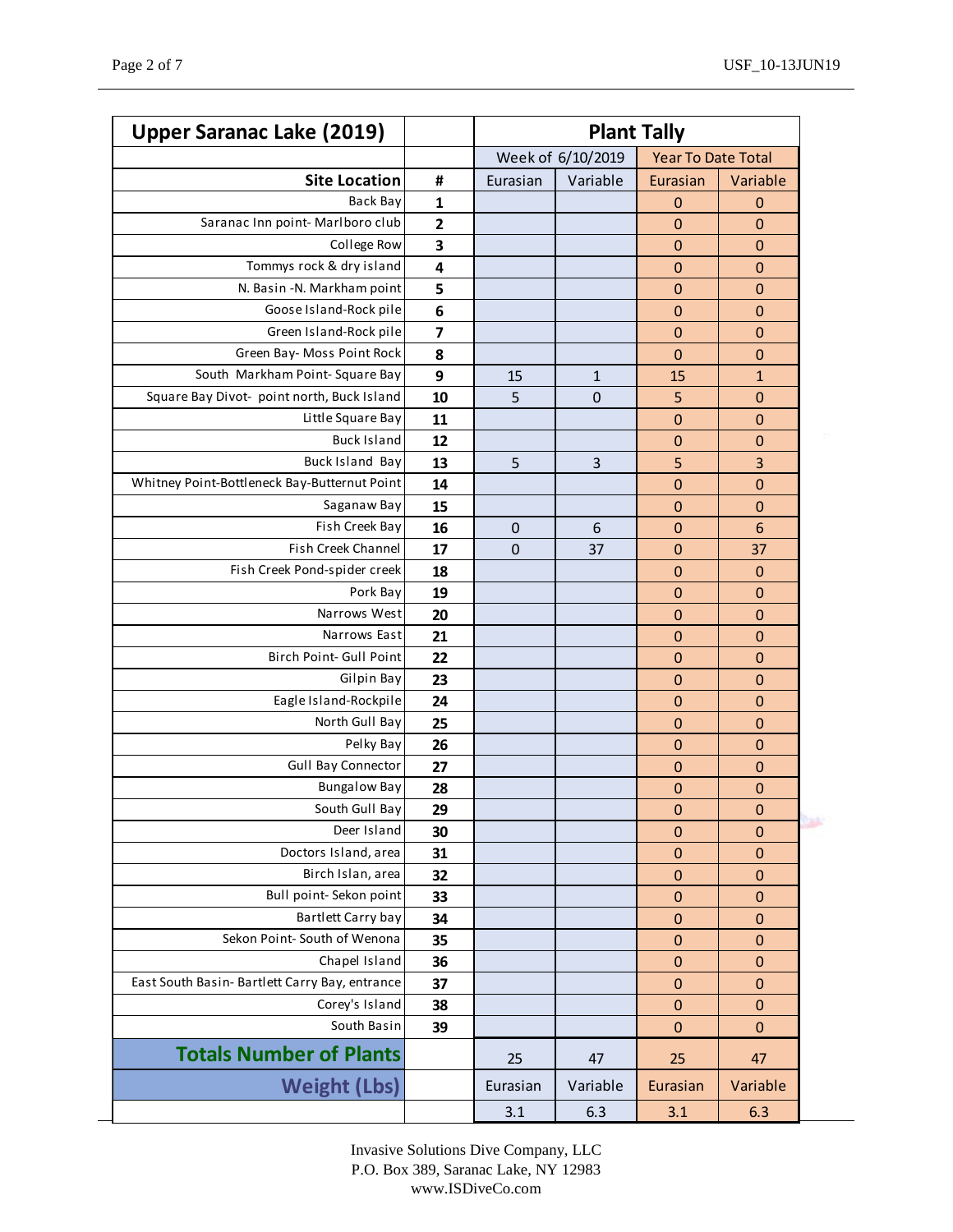| <b>Upper Saranac Lake (2019)</b>               | <b>Plant Tally</b>      |                   |              |                           |                  |
|------------------------------------------------|-------------------------|-------------------|--------------|---------------------------|------------------|
|                                                |                         | Week of 6/10/2019 |              | <b>Year To Date Total</b> |                  |
| <b>Site Location</b>                           | #                       | Eurasian          | Variable     | Eurasian                  | Variable         |
| Back Bay                                       | 1                       |                   |              | $\mathbf 0$               | $\mathbf 0$      |
| Saranac Inn point-Marlboro club                | $\overline{\mathbf{c}}$ |                   |              | $\mathbf 0$               | $\mathbf 0$      |
| College Row                                    | 3                       |                   |              | $\mathbf 0$               | $\mathbf 0$      |
| Tommys rock & dry island                       | 4                       |                   |              | $\mathbf 0$               | $\mathbf 0$      |
| N. Basin - N. Markham point                    | 5                       |                   |              | $\mathbf 0$               | $\mathbf 0$      |
| Goose Island-Rock pile                         | 6                       |                   |              | $\mathbf 0$               | $\mathbf 0$      |
| Green Island-Rock pile                         | 7                       |                   |              | $\mathbf 0$               | $\mathbf 0$      |
| Green Bay- Moss Point Rock                     | 8                       |                   |              | $\mathbf 0$               | $\mathbf 0$      |
| South Markham Point-Square Bay                 | 9                       | 15                | $\mathbf{1}$ | 15                        | $\mathbf{1}$     |
| Square Bay Divot- point north, Buck Island     | 10                      | 5                 | $\mathbf 0$  | 5                         | $\mathbf 0$      |
| Little Square Bay                              | 11                      |                   |              | $\mathbf 0$               | $\mathbf 0$      |
| <b>Buck Island</b>                             | 12                      |                   |              | $\mathbf 0$               | $\mathbf 0$      |
| <b>Buck Island Bay</b>                         | 13                      | 5                 | 3            | 5                         | 3                |
| Whitney Point-Bottleneck Bay-Butternut Point   | 14                      |                   |              | $\mathbf 0$               | $\mathbf 0$      |
| Saganaw Bay                                    | 15                      |                   |              | $\mathbf 0$               | $\mathbf 0$      |
| Fish Creek Bay                                 | 16                      | $\mathbf 0$       | 6            | $\mathbf 0$               | 6                |
| Fish Creek Channel                             | 17                      | 0                 | 37           | $\mathbf 0$               | 37               |
| Fish Creek Pond-spider creek                   | 18                      |                   |              | $\mathbf 0$               | $\mathbf 0$      |
| Pork Bay                                       | 19                      |                   |              | $\mathbf 0$               | $\mathbf 0$      |
| Narrows West                                   | 20                      |                   |              | $\mathbf 0$               | $\mathbf 0$      |
| Narrows East                                   | 21                      |                   |              | $\mathbf 0$               | $\mathbf 0$      |
| Birch Point- Gull Point                        | 22                      |                   |              | $\mathbf 0$               | $\mathbf 0$      |
| Gilpin Bay                                     | 23                      |                   |              | $\mathbf 0$               | $\mathbf 0$      |
| Eagle Island-Rockpile                          | 24                      |                   |              | 0                         | $\mathbf 0$      |
| North Gull Bay                                 | 25                      |                   |              | $\mathbf 0$               | $\mathbf 0$      |
| Pelky Bay                                      | 26                      |                   |              | $\mathbf 0$               | $\mathbf 0$      |
| <b>Gull Bay Connector</b>                      | 27                      |                   |              | $\mathbf 0$               | $\mathbf 0$      |
| <b>Bungalow Bay</b>                            | 28                      |                   |              | $\mathbf 0$               | $\mathbf 0$      |
| South Gull Bay                                 | 29                      |                   |              | $\pmb{0}$                 | $\pmb{0}$        |
| Deer Island                                    | 30                      |                   |              | 0                         | $\boldsymbol{0}$ |
| Doctors Island, area                           | 31                      |                   |              | $\mathbf 0$               | $\mathbf 0$      |
| Birch Islan, area                              | 32                      |                   |              | $\pmb{0}$                 | $\pmb{0}$        |
| Bull point- Sekon point                        | 33                      |                   |              | $\mathbf 0$               | $\pmb{0}$        |
| Bartlett Carry bay                             | 34                      |                   |              | $\mathbf 0$               | $\mathbf 0$      |
| Sekon Point- South of Wenona                   | 35                      |                   |              | $\mathbf 0$               | 0                |
| Chapel Island                                  | 36                      |                   |              | $\pmb{0}$                 | $\pmb{0}$        |
| East South Basin- Bartlett Carry Bay, entrance | 37                      |                   |              | $\mathbf 0$               | $\mathbf 0$      |
| Corey's Island                                 | 38                      |                   |              | $\pmb{0}$                 | $\pmb{0}$        |
| South Basin                                    | 39                      |                   |              | $\mathbf 0$               | 0                |
| <b>Totals Number of Plants</b>                 |                         | 25                | 47           | 25                        | 47               |
| <b>Weight (Lbs)</b>                            |                         | Eurasian          | Variable     | Eurasian                  | Variable         |
|                                                |                         | 3.1               | 6.3          | 3.1                       | 6.3              |

Invasive Solutions Dive Company, LLC P.O. Box 389, Saranac Lake, NY 12983 www.ISDiveCo.com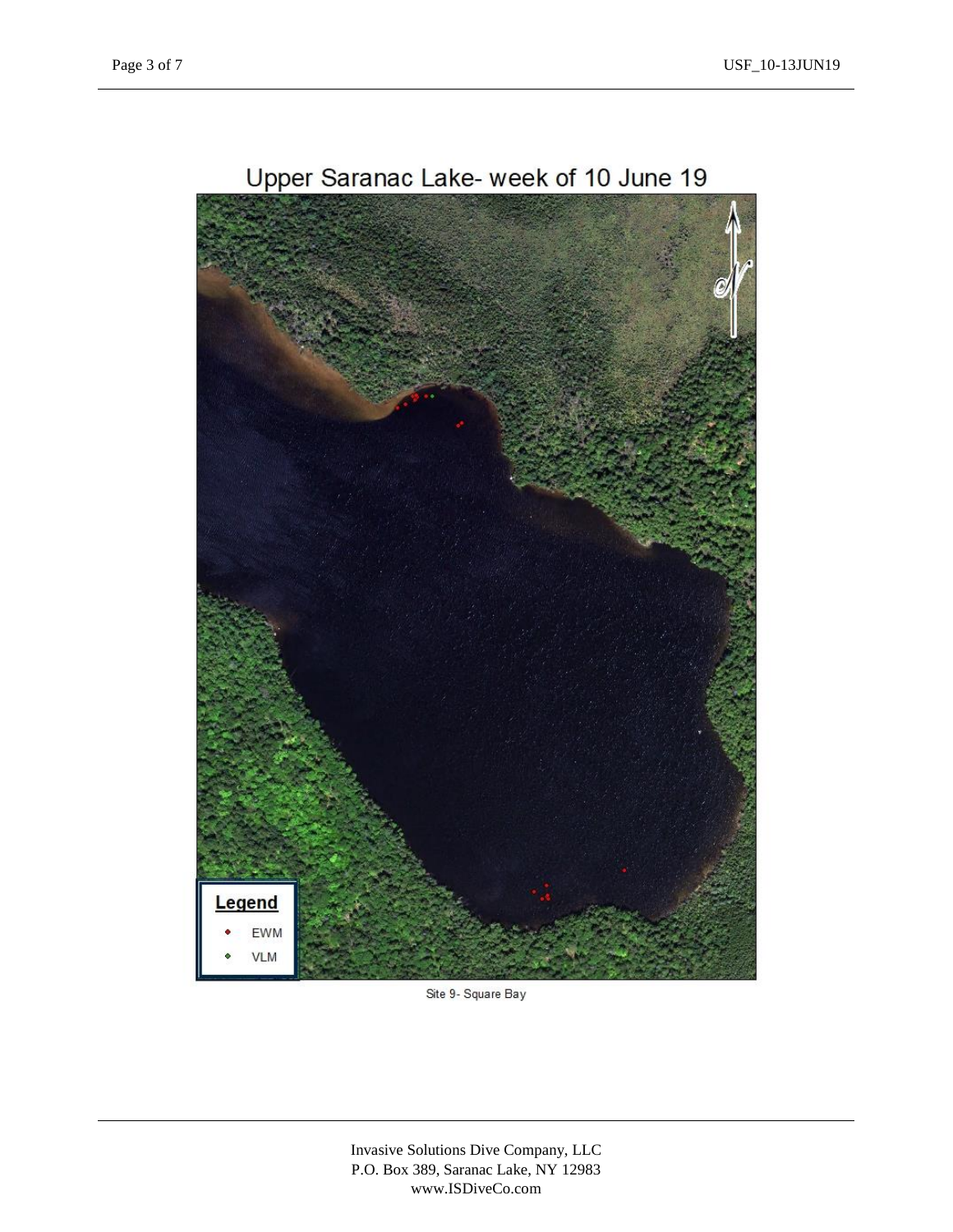

Site 9- Square Bay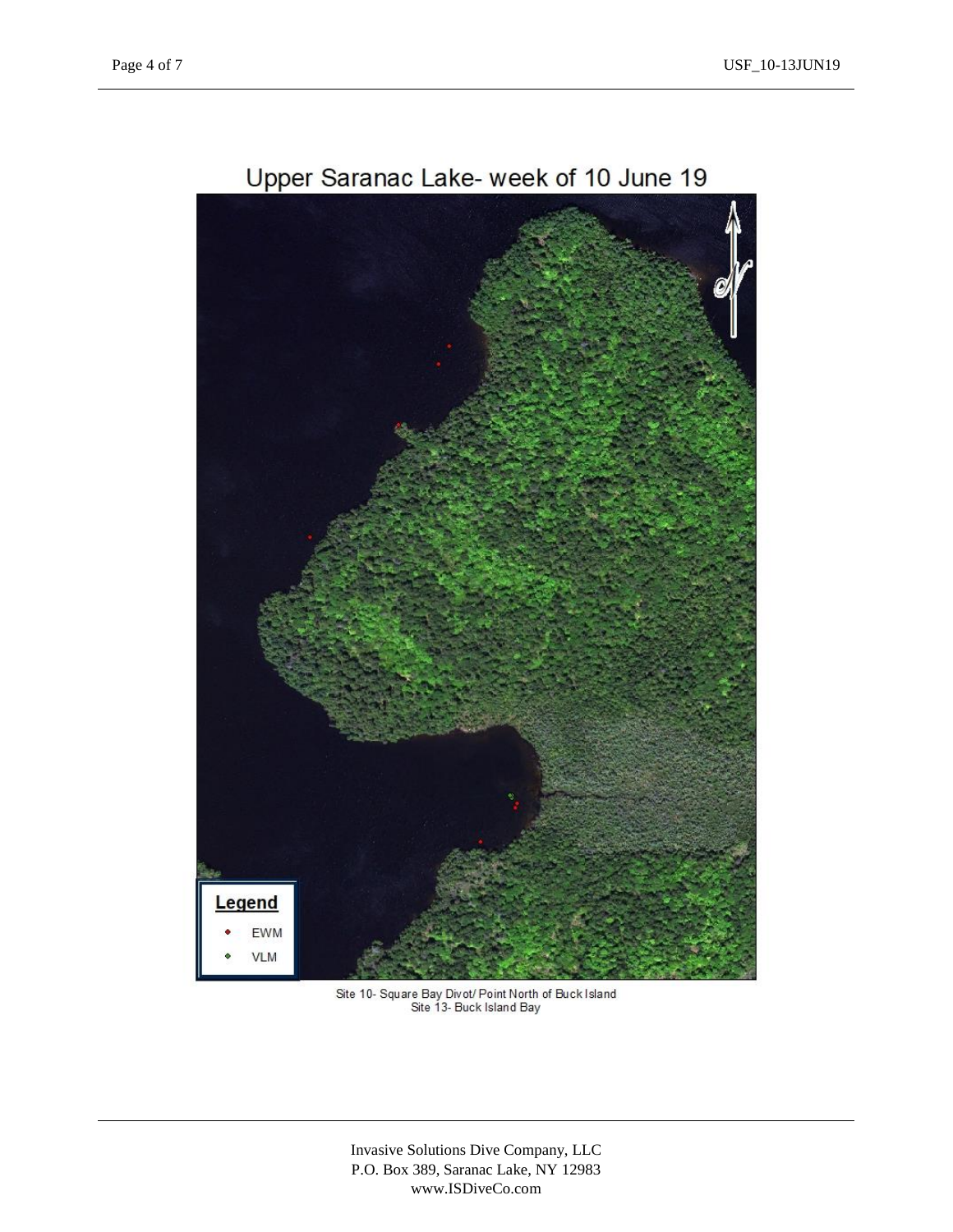

Site 10- Square Bay Divot/ Point North of Buck Island<br>Site 13- Buck Island Bay

Invasive Solutions Dive Company, LLC P.O. Box 389, Saranac Lake, NY 12983 www.ISDiveCo.com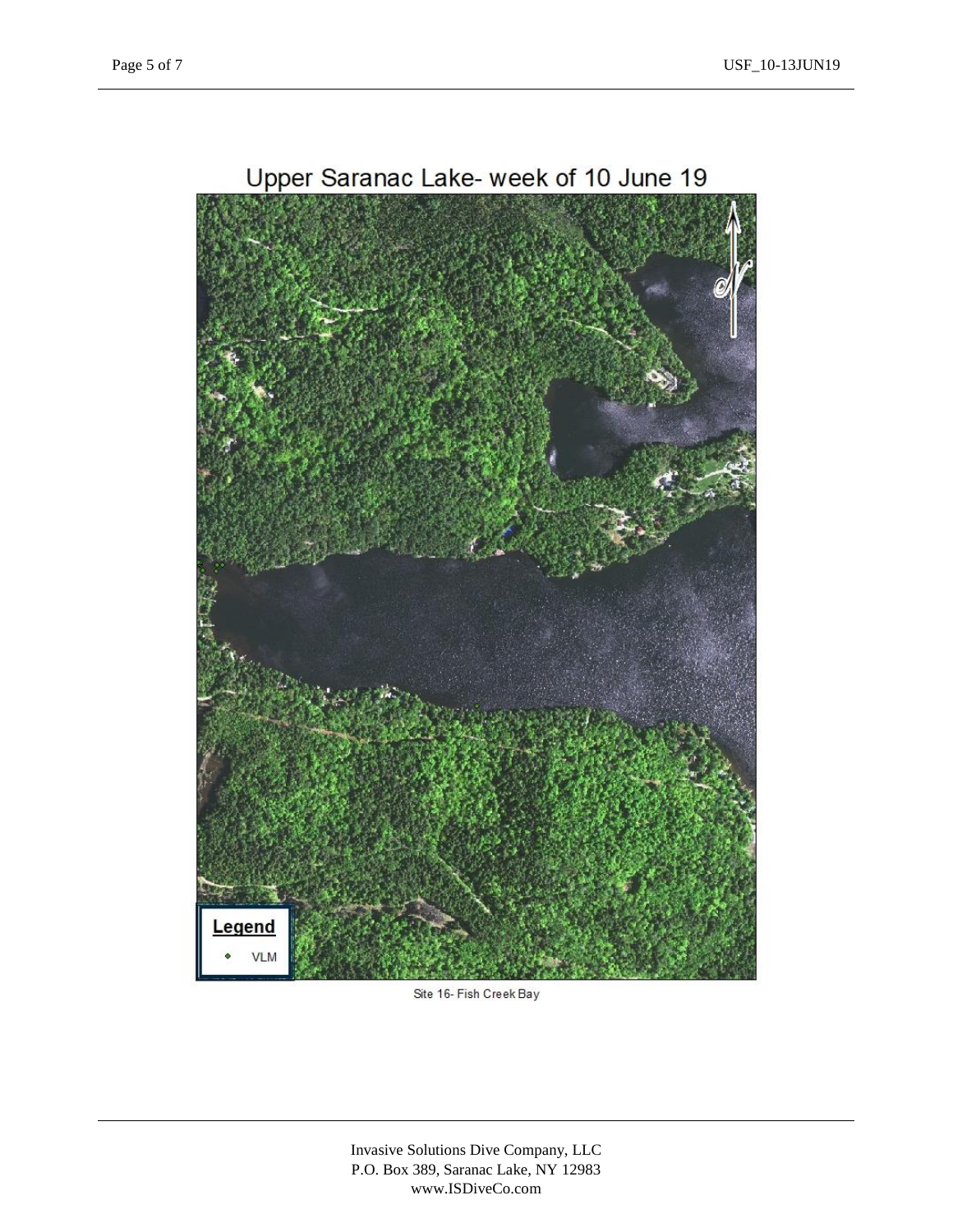

Site 16- Fish Creek Bay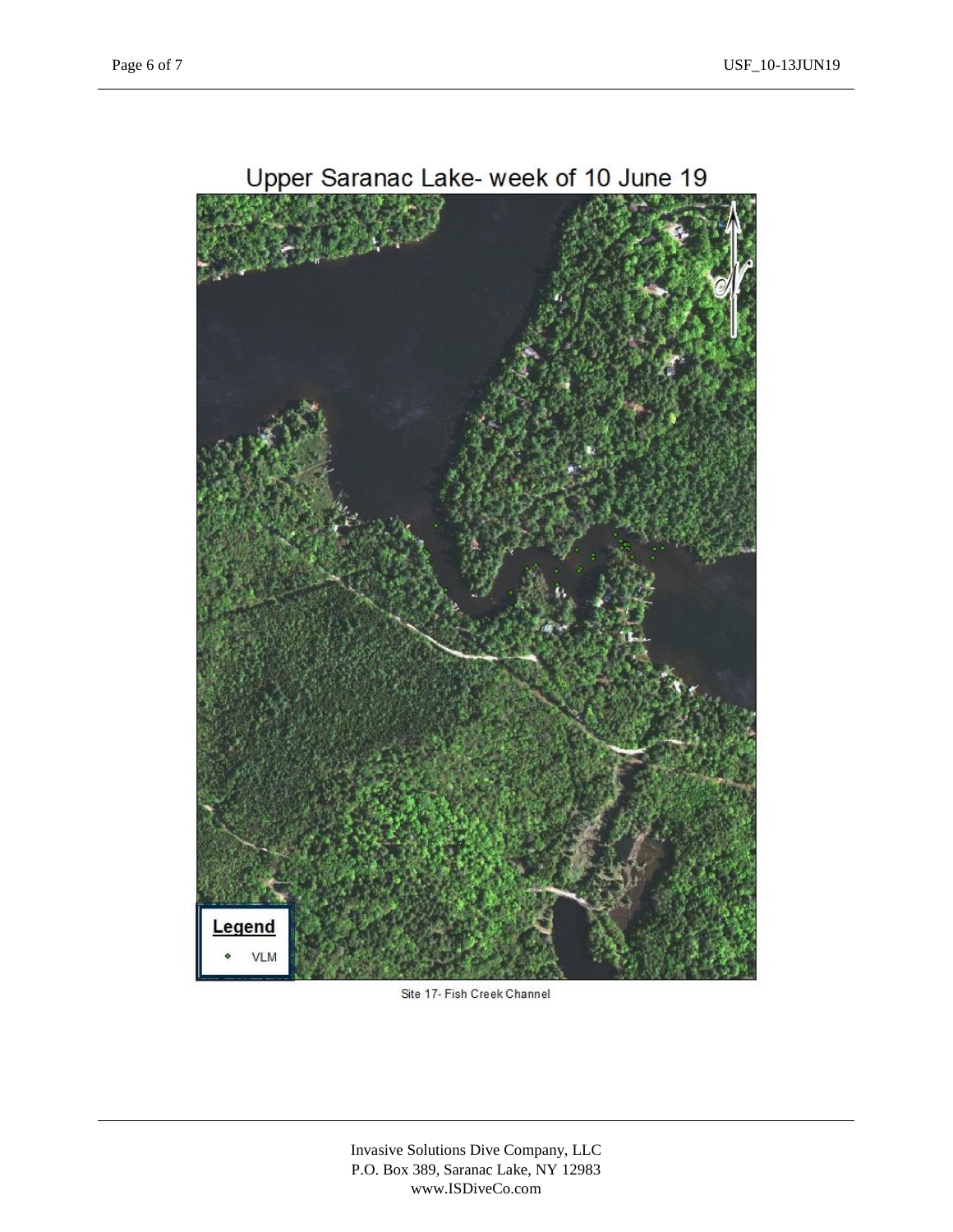

Site 17- Fish Creek Channel